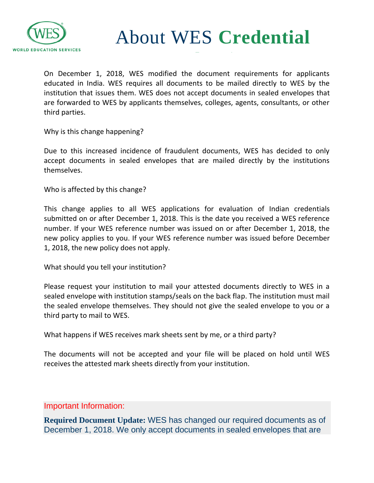

About WES **Credential**

On December 1, 2018, WES modified the document requirements for applicants educated in India. WES requires all documents to be mailed directly to WES by the institution that issues them. WES does not accept documents in sealed envelopes that are forwarded to WES by applicants themselves, colleges, agents, consultants, or other third parties.

Why is this change happening?

Due to this increased incidence of fraudulent documents, WES has decided to only accept documents in sealed envelopes that are mailed directly by the institutions themselves.

Who is affected by this change?

This change applies to all WES applications for evaluation of Indian credentials submitted on or after December 1, 2018. This is the date you received a WES reference number. If your WES reference number was issued on or after December 1, 2018, the new policy applies to you. If your WES reference number was issued before December 1, 2018, the new policy does not apply.

What should you tell your institution?

Please request your institution to mail your attested documents directly to WES in a sealed envelope with institution stamps/seals on the back flap. The institution must mail the sealed envelope themselves. They should not give the sealed envelope to you or a third party to mail to WES.

What happens if WES receives mark sheets sent by me, or a third party?

The documents will not be accepted and your file will be placed on hold until WES receives the attested mark sheets directly from your institution.

Important Information:

**Required Document Update:** WES has changed our required documents as of December 1, 2018. We only accept documents in sealed envelopes that are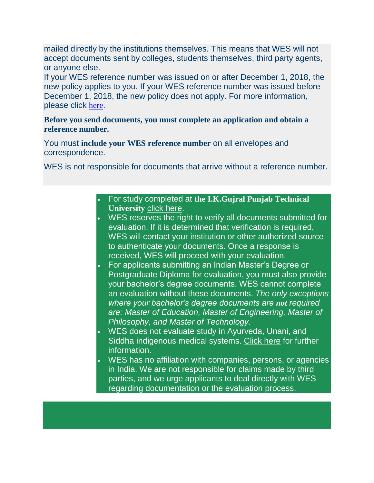mailed directly by the institutions themselves. This means that WES will not accept documents sent by colleges, students themselves, third party agents, or anyone else.

If your WES reference number was issued on or after December 1, 2018, the new policy applies to you. If your WES reference number was issued before December 1, 2018, the new policy does not apply. For more information, please click [here](https://www.wes.org/help#/path/Credential-Evaluation/1200364261/Document-Requirements-for-India.htm).

### **Before you send documents, you must complete an application and obtain a reference number.**

You must **include your WES reference number** on all envelopes and correspondence.

WES is not responsible for documents that arrive without a reference number.

 For study completed at **the I.K.Gujral Punjab Technical University** [click here.](https://applications.wes.org/onlineapp/document?ctry=ca)

- WES reserves the right to verify all documents submitted for evaluation. If it is determined that verification is required, WES will contact your institution or other authorized source to authenticate your documents. Once a response is received, WES will proceed with your evaluation.
- For applicants submitting an Indian Master's Degree or Postgraduate Diploma for evaluation, you must also provide your bachelor's degree documents. WES cannot complete an evaluation without these documents. *The only exceptions where your bachelor's degree documents are not required are: Master of Education, Master of Engineering, Master of Philosophy, and Master of Technology.*
- WES does not evaluate study in Ayurveda, Unani, and Siddha indigenous medical systems. [Click here](https://applications.wes.org/onlineapp/document?ctry=ca) for further information.
- WES has no affiliation with companies, persons, or agencies in India. We are not responsible for claims made by third parties, and we urge applicants to deal directly with WES regarding documentation or the evaluation process.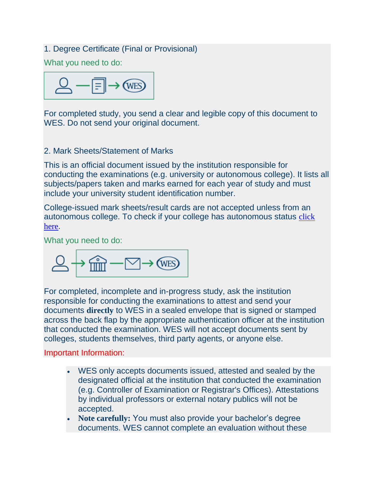### 1. Degree Certificate (Final or Provisional)

What you need to do:



For completed study, you send a clear and legible copy of this document to WES. Do not send your original document.

### 2. Mark Sheets/Statement of Marks

This is an official document issued by the institution responsible for conducting the examinations (e.g. university or autonomous college). It lists all subjects/papers taken and marks earned for each year of study and must include your university student identification number.

College-issued mark sheets/result cards are not accepted unless from an autonomous college. To check if your college has autonomous status [click](https://www.ugc.ac.in/oldpdf/colleges/autonomous_colleges-list.pdf)  [here](https://www.ugc.ac.in/oldpdf/colleges/autonomous_colleges-list.pdf).

What you need to do:

$$
\triangle \rightarrow \text{min} - \text{max}
$$

For completed, incomplete and in-progress study, ask the institution responsible for conducting the examinations to attest and send your documents **directly** to WES in a sealed envelope that is signed or stamped across the back flap by the appropriate authentication officer at the institution that conducted the examination. WES will not accept documents sent by colleges, students themselves, third party agents, or anyone else.

#### Important Information:

- WES only accepts documents issued, attested and sealed by the designated official at the institution that conducted the examination (e.g. Controller of Examination or Registrar's Offices). Attestations by individual professors or external notary publics will not be accepted.
- **Note carefully:** You must also provide your bachelor's degree documents. WES cannot complete an evaluation without these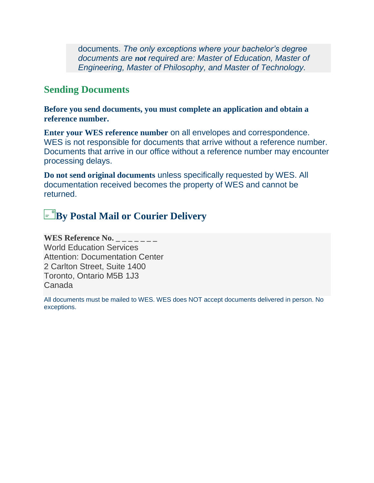documents. *The only exceptions where your bachelor's degree documents are not required are: Master of Education, Master of Engineering, Master of Philosophy, and Master of Technology.*

## **Sending Documents**

**Before you send documents, you must complete an application and obtain a reference number.**

**Enter your WES reference number** on all envelopes and correspondence. WES is not responsible for documents that arrive without a reference number. Documents that arrive in our office without a reference number may encounter processing delays.

**Do not send original documents** unless specifically requested by WES. All documentation received becomes the property of WES and cannot be returned.

# **E**<sup>*By*</sup> Postal Mail or Courier Delivery

**WES Reference No.** World Education Services Attention: Documentation Center 2 Carlton Street, Suite 1400 Toronto, Ontario M5B 1J3 Canada

All documents must be mailed to WES. WES does NOT accept documents delivered in person. No exceptions.